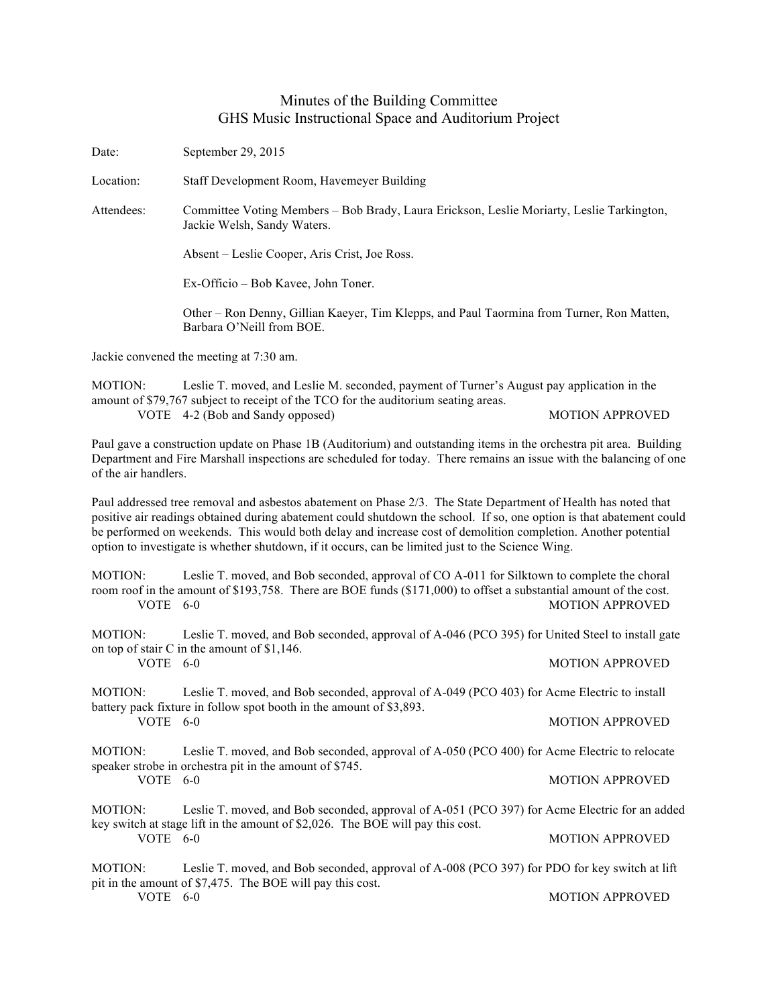## Minutes of the Building Committee GHS Music Instructional Space and Auditorium Project

Date: September 29, 2015

Location: Staff Development Room, Havemeyer Building

Attendees: Committee Voting Members – Bob Brady, Laura Erickson, Leslie Moriarty, Leslie Tarkington, Jackie Welsh, Sandy Waters.

Absent – Leslie Cooper, Aris Crist, Joe Ross.

Ex-Officio – Bob Kavee, John Toner.

Other – Ron Denny, Gillian Kaeyer, Tim Klepps, and Paul Taormina from Turner, Ron Matten, Barbara O'Neill from BOE.

Jackie convened the meeting at 7:30 am.

MOTION: Leslie T. moved, and Leslie M. seconded, payment of Turner's August pay application in the amount of \$79,767 subject to receipt of the TCO for the auditorium seating areas. VOTE 4-2 (Bob and Sandy opposed) MOTION APPROVED

Paul gave a construction update on Phase 1B (Auditorium) and outstanding items in the orchestra pit area. Building Department and Fire Marshall inspections are scheduled for today. There remains an issue with the balancing of one of the air handlers.

Paul addressed tree removal and asbestos abatement on Phase 2/3. The State Department of Health has noted that positive air readings obtained during abatement could shutdown the school. If so, one option is that abatement could be performed on weekends. This would both delay and increase cost of demolition completion. Another potential option to investigate is whether shutdown, if it occurs, can be limited just to the Science Wing.

MOTION: Leslie T. moved, and Bob seconded, approval of CO A-011 for Silktown to complete the choral room roof in the amount of \$193,758. There are BOE funds (\$171,000) to offset a substantial amount of the cost. VOTE 6-0 MOTION APPROVED

MOTION: Leslie T. moved, and Bob seconded, approval of A-046 (PCO 395) for United Steel to install gate on top of stair C in the amount of \$1,146. VOTE 6-0 MOTION APPROVED

MOTION: Leslie T. moved, and Bob seconded, approval of A-049 (PCO 403) for Acme Electric to install battery pack fixture in follow spot booth in the amount of \$3,893. VOTE 6-0 MOTION APPROVED

MOTION: Leslie T. moved, and Bob seconded, approval of A-050 (PCO 400) for Acme Electric to relocate speaker strobe in orchestra pit in the amount of \$745.<br>VOTE 6-0 **MOTION APPROVED** 

MOTION: Leslie T. moved, and Bob seconded, approval of A-051 (PCO 397) for Acme Electric for an added key switch at stage lift in the amount of \$2,026. The BOE will pay this cost. VOTE 6-0 MOTION APPROVED

MOTION: Leslie T. moved, and Bob seconded, approval of A-008 (PCO 397) for PDO for key switch at lift pit in the amount of \$7,475. The BOE will pay this cost. VOTE 6-0 MOTION APPROVED